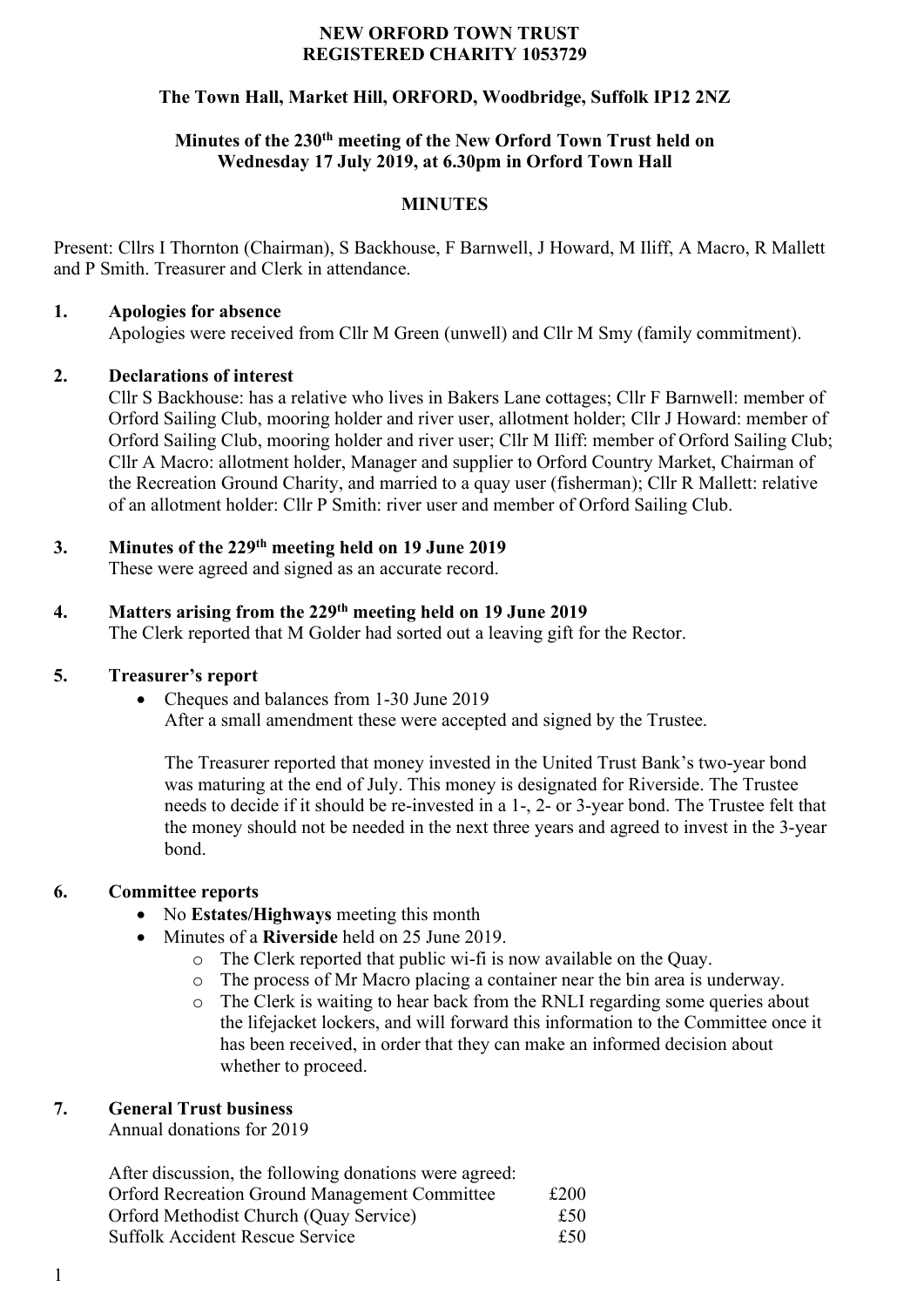### **NEW ORFORD TOWN TRUST REGISTERED CHARITY 1053729**

# **The Town Hall, Market Hill, ORFORD, Woodbridge, Suffolk IP12 2NZ**

## **Minutes of the 230th meeting of the New Orford Town Trust held on Wednesday 17 July 2019, at 6.30pm in Orford Town Hall**

### **MINUTES**

Present: Cllrs I Thornton (Chairman), S Backhouse, F Barnwell, J Howard, M Iliff, A Macro, R Mallett and P Smith. Treasurer and Clerk in attendance.

### **1. Apologies for absence**

Apologies were received from Cllr M Green (unwell) and Cllr M Smy (family commitment).

### **2. Declarations of interest**

Cllr S Backhouse: has a relative who lives in Bakers Lane cottages; Cllr F Barnwell: member of Orford Sailing Club, mooring holder and river user, allotment holder; Cllr J Howard: member of Orford Sailing Club, mooring holder and river user; Cllr M Iliff: member of Orford Sailing Club; Cllr A Macro: allotment holder, Manager and supplier to Orford Country Market, Chairman of the Recreation Ground Charity, and married to a quay user (fisherman); Cllr R Mallett: relative of an allotment holder: Cllr P Smith: river user and member of Orford Sailing Club.

# **3. Minutes of the 229 th meeting held on 19 June 2019**

These were agreed and signed as an accurate record.

## **4. Matters arising from the 229 th meeting held on 19 June 2019**

The Clerk reported that M Golder had sorted out a leaving gift for the Rector.

### **5. Treasurer's report**

• Cheques and balances from 1-30 June 2019

After a small amendment these were accepted and signed by the Trustee.

The Treasurer reported that money invested in the United Trust Bank's two-year bond was maturing at the end of July. This money is designated for Riverside. The Trustee needs to decide if it should be re-invested in a 1-, 2- or 3-year bond. The Trustee felt that the money should not be needed in the next three years and agreed to invest in the 3-year bond.

# **6. Committee reports**

- No **Estates/Highways** meeting this month
- Minutes of a **Riverside** held on 25 June 2019.
	- o The Clerk reported that public wi-fi is now available on the Quay.
	- o The process of Mr Macro placing a container near the bin area is underway.
	- o The Clerk is waiting to hear back from the RNLI regarding some queries about the lifejacket lockers, and will forward this information to the Committee once it has been received, in order that they can make an informed decision about whether to proceed.

### **7. General Trust business**

Annual donations for 2019

After discussion, the following donations were agreed: Orford Recreation Ground Management Committee £200 Orford Methodist Church (Quay Service) £50 Suffolk Accident Rescue Service <br>
£50